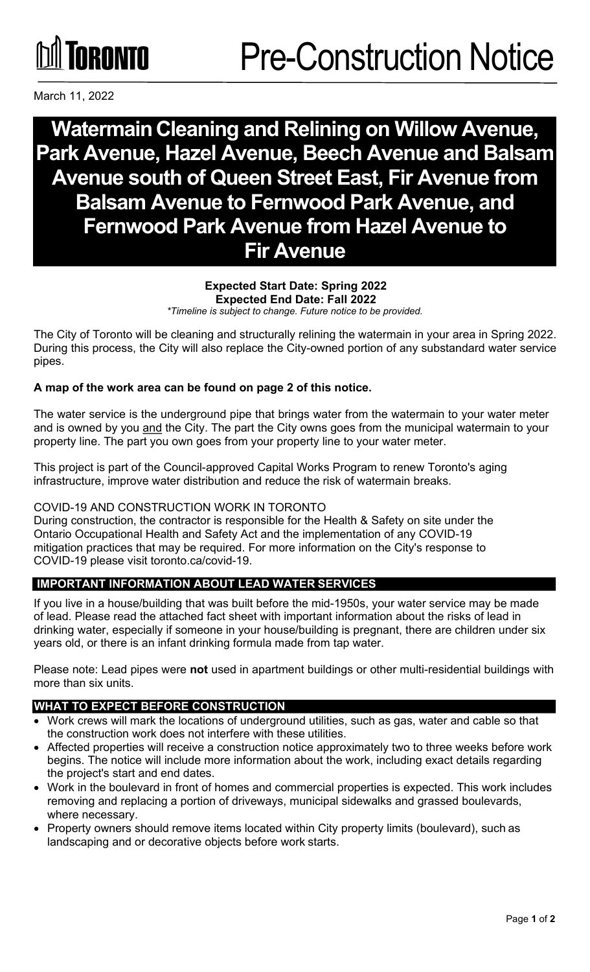

# **WatermainCleaning and Relining on Willow Avenue, Park Avenue, Hazel Avenue, Beech Avenue and Balsam Avenue south of Queen Street East, Fir Avenue from Balsam Avenue to Fernwood Park Avenue, and Fernwood Park Avenue from Hazel Avenue to Fir Avenue**

# **Expected Start Date: Spring 2022 Expected End Date: Fall 2022**

*\*Timeline is subject to change. Future notice to be provided.*

The City of Toronto will be cleaning and structurally relining the watermain in your area in Spring 2022. During this process, the City will also replace the City-owned portion of any substandard water service pipes.

### **A map of the work area can be found on page 2 of this notice.**

The water service is the underground pipe that brings water from the watermain to your water meter and is owned by you and the City. The part the City owns goes from the municipal watermain to your property line. The part you own goes from your property line to your water meter.

This project is part of the Council-approved Capital Works Program to renew Toronto's aging infrastructure, improve water distribution and reduce the risk of watermain breaks.

#### COVID-19 AND CONSTRUCTION WORK IN TORONTO

During construction, the contractor is responsible for the Health & Safety on site under the Ontario Occupational Health and Safety Act and the implementation of any COVID-19 mitigation practices that may be required. For more information on the City's response to COVID-19 please visit toronto.ca/covid-19.

## **IMPORTANT INFORMATION ABOUT LEAD WATER SERVICES**

If you live in a house/building that was built before the mid-1950s, your water service may be made of lead. Please read the attached fact sheet with important information about the risks of lead in drinking water, especially if someone in your house/building is pregnant, there are children under six years old, or there is an infant drinking formula made from tap water.

Please note: Lead pipes were **not** used in apartment buildings or other multi-residential buildings with more than six units.

#### **WHAT TO EXPECT BEFORE CONSTRUCTION**

- Work crews will mark the locations of underground utilities, such as gas, water and cable so that the construction work does not interfere with these utilities.
- Affected properties will receive a construction notice approximately two to three weeks before work begins. The notice will include more information about the work, including exact details regarding the project's start and end dates.
- Work in the boulevard in front of homes and commercial properties is expected. This work includes removing and replacing a portion of driveways, municipal sidewalks and grassed boulevards, where necessary.
- Property owners should remove items located within City property limits (boulevard), such as landscaping and or decorative objects before work starts.